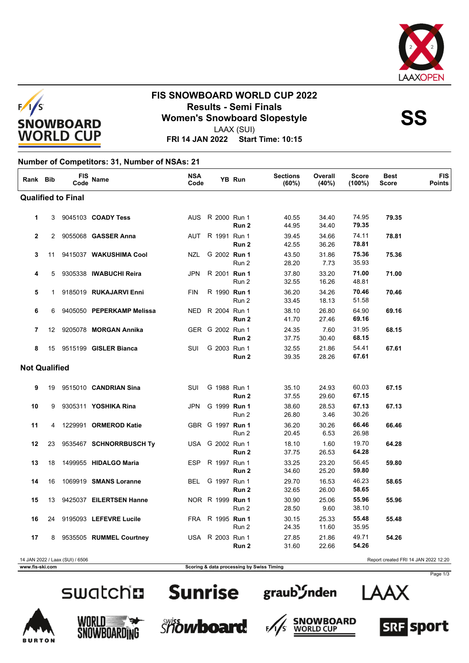



## **FIS SNOWBOARD WORLD CUP 2022 Results - Semi Finals<br>
Women's Snowboard Slopestyle<br>
Momen's Sancture of AAX (SLII)**

LAAX (SUI)

**FRI 14 JAN 2022 Start Time: 10:15**

#### **Number of Competitors: 31, Number of NSAs: 21**

| Rank Bib                  |    | FIS<br>Code                     | <b>Name</b>                     | <b>NSA</b><br>Code |                  | YB Run           | <b>Sections</b><br>(60%) | Overall<br>(40%) | <b>Score</b><br>$(100\%)$ | <b>Best</b><br><b>Score</b>          | <b>FIS</b><br><b>Points</b> |
|---------------------------|----|---------------------------------|---------------------------------|--------------------|------------------|------------------|--------------------------|------------------|---------------------------|--------------------------------------|-----------------------------|
| <b>Qualified to Final</b> |    |                                 |                                 |                    |                  |                  |                          |                  |                           |                                      |                             |
| 1                         | 3  |                                 | 9045103 <b>COADY Tess</b>       |                    | AUS R 2000 Run 1 | Run 2            | 40.55<br>44.95           | 34.40<br>34.40   | 74.95<br>79.35            | 79.35                                |                             |
| $\mathbf{2}$              |    |                                 | 2 9055068 GASSER Anna           |                    | AUT R 1991 Run 1 | Run 2            | 39.45<br>42.55           | 34.66<br>36.26   | 74.11<br>78.81            | 78.81                                |                             |
| 3                         | 11 |                                 | 9415037 WAKUSHIMA Cool          | NZL                | G 2002 Run 1     | Run 2            | 43.50<br>28.20           | 31.86<br>7.73    | 75.36<br>35.93            | 75.36                                |                             |
| 4                         | 5  |                                 | 9305338 IWABUCHI Reira          | <b>JPN</b>         | R 2001 Run 1     | Run 2            | 37.80<br>32.55           | 33.20<br>16.26   | 71.00<br>48.81            | 71.00                                |                             |
| 5                         |    |                                 | 1 9185019 <b>RUKAJARVI Enni</b> | <b>FIN</b>         | R 1990 Run 1     | Run 2            | 36.20<br>33.45           | 34.26<br>18.13   | 70.46<br>51.58            | 70.46                                |                             |
| 6                         |    |                                 | 6 9405050 PEPERKAMP Melissa     | <b>NED</b>         | R 2004 Run 1     | Run 2            | 38.10<br>41.70           | 26.80<br>27.46   | 64.90<br>69.16            | 69.16                                |                             |
| $\overline{7}$            | 12 |                                 | 9205078 MORGAN Annika           |                    | GER G 2002 Run 1 | Run 2            | 24.35<br>37.75           | 7.60<br>30.40    | 31.95<br>68.15            | 68.15                                |                             |
| 8                         | 15 |                                 | 9515199 GISLER Bianca           | SUI                | G 2003 Run 1     | Run 2            | 32.55<br>39.35           | 21.86<br>28.26   | 54.41<br>67.61            | 67.61                                |                             |
| <b>Not Qualified</b>      |    |                                 |                                 |                    |                  |                  |                          |                  |                           |                                      |                             |
| 9                         | 19 |                                 | 9515010 CANDRIAN Sina           | SUI                | G 1988 Run 1     | Run 2            | 35.10<br>37.55           | 24.93<br>29.60   | 60.03<br>67.15            | 67.15                                |                             |
| 10                        | 9  |                                 | 9305311 YOSHIKA Rina            | JPN                | G 1999 Run 1     | Run 2            | 38.60<br>26.80           | 28.53<br>3.46    | 67.13<br>30.26            | 67.13                                |                             |
| 11                        | 4  |                                 | 1229991 ORMEROD Katie           |                    | GBR G 1997 Run 1 | Run 2            | 36.20<br>20.45           | 30.26<br>6.53    | 66.46<br>26.98            | 66.46                                |                             |
| 12                        | 23 |                                 | 9535467 SCHNORRBUSCH Ty         |                    | USA G 2002 Run 1 | Run 2            | 18.10<br>37.75           | 1.60<br>26.53    | 19.70<br>64.28            | 64.28                                |                             |
| 13                        | 18 |                                 | 1499955 HIDALGO Maria           | ESP                | R 1997 Run 1     | Run <sub>2</sub> | 33.25<br>34.60           | 23.20<br>25.20   | 56.45<br>59.80            | 59.80                                |                             |
| 14                        | 16 |                                 | 1069919 SMANS Loranne           | BEL                | G 1997 Run 1     | Run <sub>2</sub> | 29.70<br>32.65           | 16.53<br>26.00   | 46.23<br>58.65            | 58.65                                |                             |
| 15                        | 13 |                                 | 9425037 EILERTSEN Hanne         |                    | NOR R 1999 Run 1 | Run 2            | 30.90<br>28.50           | 25.06<br>9.60    | 55.96<br>38.10            | 55.96                                |                             |
| 16                        |    |                                 | 24 9195093 LEFEVRE Lucile       |                    | FRA R 1995 Run 1 | Run 2            | 30.15<br>24.35           | 25.33<br>11.60   | 55.48<br>35.95            | 55.48                                |                             |
| 17                        |    |                                 | 8 9535505 RUMMEL Courtney       |                    | USA R 2003 Run 1 | Run 2            | 27.85<br>31.60           | 21.86<br>22.66   | 49.71<br>54.26            | 54.26                                |                             |
|                           |    | 14 JAN 2022 / Laax (SUI) / 6506 |                                 |                    |                  |                  |                          |                  |                           | Report created FRI 14 JAN 2022 12:20 |                             |

**www.fis-ski.com Scoring & data processing by Swiss Timing**

# SWatchn Sunrise graub Snden

















Page 1/3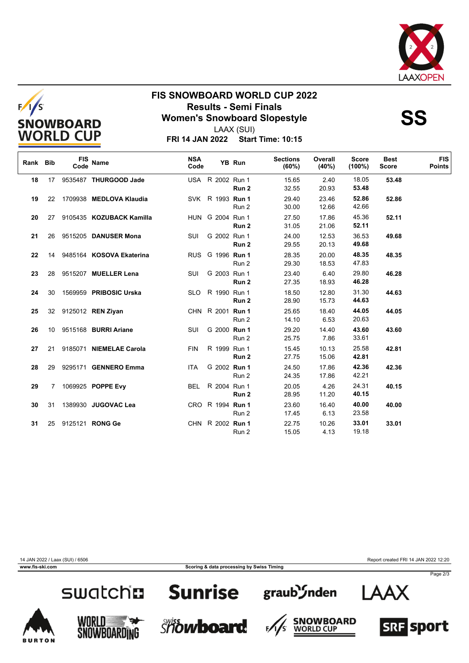



### **FIS SNOWBOARD WORLD CUP 2022 Results - Semi Finals<br>
Women's Snowboard Slopestyle<br>
Momen's Sancture of AAX (SLII)**



LAAX (SUI)

| Rank Bib |                 | <b>FIS</b><br>Code | <b>Name</b>                | <b>NSA</b><br>Code |                  | YB Run | <b>Sections</b><br>(60%) | Overall<br>(40%) | <b>Score</b><br>$(100\%)$ | <b>Best</b><br><b>Score</b> | <b>FIS</b><br><b>Points</b> |
|----------|-----------------|--------------------|----------------------------|--------------------|------------------|--------|--------------------------|------------------|---------------------------|-----------------------------|-----------------------------|
| 18       | 17 <sup>2</sup> |                    | 9535487 THURGOOD Jade      |                    | USA R 2002 Run 1 | Run 2  | 15.65<br>32.55           | 2.40<br>20.93    | 18.05<br>53.48            | 53.48                       |                             |
| 19       |                 |                    | 22 1709938 MEDLOVA Klaudia |                    | SVK R 1993 Run 1 | Run 2  | 29.40<br>30.00           | 23.46<br>12.66   | 52.86<br>42.66            | 52.86                       |                             |
| 20       | 27              |                    | 9105435 KOZUBACK Kamilla   |                    | HUN G 2004 Run 1 | Run 2  | 27.50<br>31.05           | 17.86<br>21.06   | 45.36<br>52.11            | 52.11                       |                             |
| 21       | 26              |                    | 9515205 DANUSER Mona       | SUI                | G 2002 Run 1     | Run 2  | 24.00<br>29.55           | 12.53<br>20.13   | 36.53<br>49.68            | 49.68                       |                             |
| 22       | 14              |                    | 9485164 KOSOVA Ekaterina   |                    | RUS G 1996 Run 1 | Run 2  | 28.35<br>29.30           | 20.00<br>18.53   | 48.35<br>47.83            | 48.35                       |                             |
| 23       | 28              |                    | 9515207 MUELLER Lena       | SUI                | G 2003 Run 1     | Run 2  | 23.40<br>27.35           | 6.40<br>18.93    | 29.80<br>46.28            | 46.28                       |                             |
| 24       | 30              |                    | 1569959 PRIBOSIC Urska     |                    | SLO R 1990 Run 1 | Run 2  | 18.50<br>28.90           | 12.80<br>15.73   | 31.30<br>44.63            | 44.63                       |                             |
| 25       |                 |                    | 32 9125012 REN Ziyan       |                    | CHN R 2001 Run 1 | Run 2  | 25.65<br>14.10           | 18.40<br>6.53    | 44.05<br>20.63            | 44.05                       |                             |
| 26       | 10              |                    | 9515168 BURRI Ariane       | SUI                | G 2000 Run 1     | Run 2  | 29.20<br>25.75           | 14.40<br>7.86    | 43.60<br>33.61            | 43.60                       |                             |
| 27       | 21              |                    | 9185071 NIEMELAE Carola    | <b>FIN</b>         | R 1999 Run 1     | Run 2  | 15.45<br>27.75           | 10.13<br>15.06   | 25.58<br>42.81            | 42.81                       |                             |
| 28       | 29              |                    | 9295171 GENNERO Emma       | <b>ITA</b>         | G 2002 Run 1     | Run 2  | 24.50<br>24.35           | 17.86<br>17.86   | 42.36<br>42.21            | 42.36                       |                             |
| 29       |                 |                    | 7 1069925 POPPE Evy        | BEL                | R 2004 Run 1     | Run 2  | 20.05<br>28.95           | 4.26<br>11.20    | 24.31<br>40.15            | 40.15                       |                             |
| 30       | 31              |                    | 1389930 JUGOVAC Lea        |                    | CRO R 1994 Run 1 | Run 2  | 23.60<br>17.45           | 16.40<br>6.13    | 40.00<br>23.58            | 40.00                       |                             |
| 31       | 25              |                    | 9125121 RONG Ge            |                    | CHN R 2002 Run 1 | Run 2  | 22.75<br>15.05           | 10.26<br>4.13    | 33.01<br>19.18            | 33.01                       |                             |

14 JAN 2022 / Laax (SUI) / 6506 Report created FRI 14 JAN 2022 12:20

**TON** 

Page 2/3



WORLD WORLD

**Sunrise** 

**Showboard** 



F,